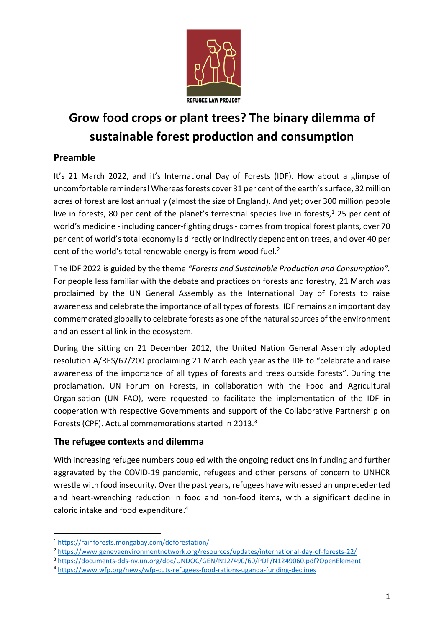

# **Grow food crops or plant trees? The binary dilemma of sustainable forest production and consumption**

# **Preamble**

It's 21 March 2022, and it's International Day of Forests (IDF). How about a glimpse of uncomfortable reminders! Whereas forests cover 31 per cent of the earth's surface, 32 million acres of forest are lost annually (almost the size of England). And yet; over 300 million people live in forests, 80 per cent of the planet's terrestrial species live in forests,<sup>1</sup> 25 per cent of world's medicine - including cancer-fighting drugs- comes from tropical forest plants, over 70 per cent of world'stotal economy is directly or indirectly dependent on trees, and over 40 per cent of the world's total renewable energy is from wood fuel.<sup>2</sup>

The IDF 2022 is guided by the theme *"Forests and Sustainable Production and Consumption".*  For people less familiar with the debate and practices on forests and forestry, 21 March was proclaimed by the UN General Assembly as the International Day of Forests to raise awareness and celebrate the importance of all types of forests. IDF remains an important day commemorated globally to celebrate forests as one of the natural sources of the environment and an essential link in the ecosystem.

During the sitting on 21 December 2012, the United Nation General Assembly adopted resolution A/RES/67/200 proclaiming 21 March each year as the IDF to "celebrate and raise awareness of the importance of all types of forests and trees outside forests". During the proclamation, UN Forum on Forests, in collaboration with the Food and Agricultural Organisation (UN FAO), were requested to facilitate the implementation of the IDF in cooperation with respective Governments and support of the Collaborative Partnership on Forests (CPF). Actual commemorations started in 2013.<sup>3</sup>

# **The refugee contexts and dilemma**

With increasing refugee numbers coupled with the ongoing reductions in funding and further aggravated by the COVID-19 pandemic, refugees and other persons of concern to UNHCR wrestle with food insecurity. Over the past years, refugees have witnessed an unprecedented and heart-wrenching reduction in food and non-food items, with a significant decline in caloric intake and food expenditure. 4

-

<sup>3</sup> <https://documents-dds-ny.un.org/doc/UNDOC/GEN/N12/490/60/PDF/N1249060.pdf?OpenElement>

<sup>1</sup> <https://rainforests.mongabay.com/deforestation/>

<sup>2</sup> <https://www.genevaenvironmentnetwork.org/resources/updates/international-day-of-forests-22/>

<sup>4</sup> <https://www.wfp.org/news/wfp-cuts-refugees-food-rations-uganda-funding-declines>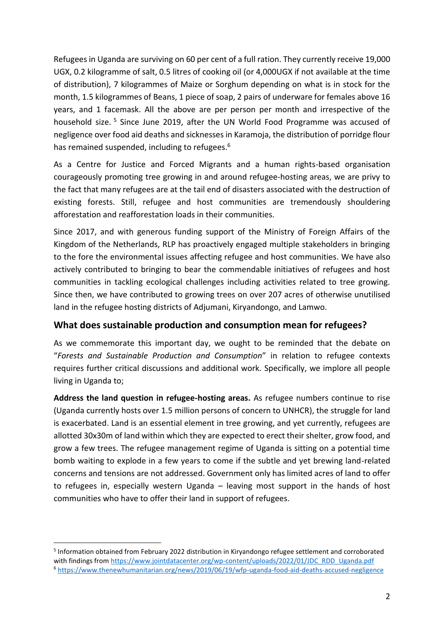Refugees in Uganda are surviving on 60 per cent of a full ration. They currently receive 19,000 UGX, 0.2 kilogramme of salt, 0.5 litres of cooking oil (or 4,000UGX if not available at the time of distribution), 7 kilogrammes of Maize or Sorghum depending on what is in stock for the month, 1.5 kilogrammes of Beans, 1 piece of soap, 2 pairs of underware for females above 16 years, and 1 facemask. All the above are per person per month and irrespective of the household size.<sup>5</sup> Since June 2019, after the UN World Food Programme was accused of negligence over food aid deaths and sicknesses in Karamoja, the distribution of porridge flour has remained suspended, including to refugees.<sup>6</sup>

As a Centre for Justice and Forced Migrants and a human rights-based organisation courageously promoting tree growing in and around refugee-hosting areas, we are privy to the fact that many refugees are at the tail end of disasters associated with the destruction of existing forests. Still, refugee and host communities are tremendously shouldering afforestation and reafforestation loads in their communities.

Since 2017, and with generous funding support of the Ministry of Foreign Affairs of the Kingdom of the Netherlands, RLP has proactively engaged multiple stakeholders in bringing to the fore the environmental issues affecting refugee and host communities. We have also actively contributed to bringing to bear the commendable initiatives of refugees and host communities in tackling ecological challenges including activities related to tree growing. Since then, we have contributed to growing trees on over 207 acres of otherwise unutilised land in the refugee hosting districts of Adjumani, Kiryandongo, and Lamwo.

### **What does sustainable production and consumption mean for refugees?**

As we commemorate this important day, we ought to be reminded that the debate on "*Forests and Sustainable Production and Consumption*" in relation to refugee contexts requires further critical discussions and additional work. Specifically, we implore all people living in Uganda to;

**Address the land question in refugee-hosting areas.** As refugee numbers continue to rise (Uganda currently hosts over 1.5 million persons of concern to UNHCR), the struggle for land is exacerbated. Land is an essential element in tree growing, and yet currently, refugees are allotted 30x30m of land within which they are expected to erect their shelter, grow food, and grow a few trees. The refugee management regime of Uganda is sitting on a potential time bomb waiting to explode in a few years to come if the subtle and yet brewing land-related concerns and tensions are not addressed. Government only has limited acres of land to offer to refugees in, especially western Uganda – leaving most support in the hands of host communities who have to offer their land in support of refugees.

1

<sup>5</sup> Information obtained from February 2022 distribution in Kiryandongo refugee settlement and corroborated with findings fro[m https://www.jointdatacenter.org/wp-content/uploads/2022/01/JDC\\_RDD\\_Uganda.pdf](https://www.jointdatacenter.org/wp-content/uploads/2022/01/JDC_RDD_Uganda.pdf) <sup>6</sup> <https://www.thenewhumanitarian.org/news/2019/06/19/wfp-uganda-food-aid-deaths-accused-negligence>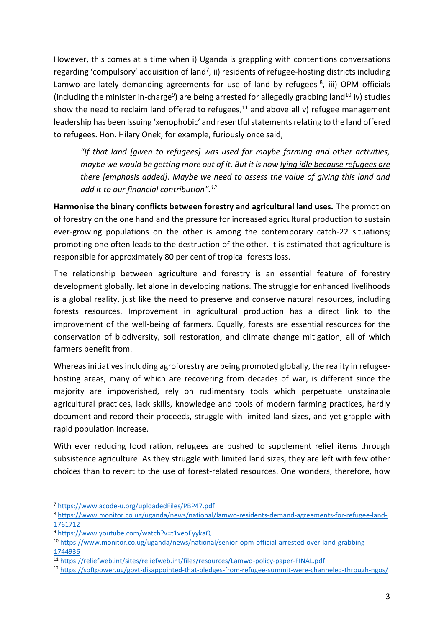However, this comes at a time when i) Uganda is grappling with contentions conversations regarding 'compulsory' acquisition of land<sup>7</sup>, ii) residents of refugee-hosting districts including Lamwo are lately demanding agreements for use of land by refugees  $8$ , iii) OPM officials (including the minister in-charge<sup>9</sup>) are being arrested for allegedly grabbing land<sup>10</sup> iv) studies show the need to reclaim land offered to refugees, $11$  and above all v) refugee management leadership has been issuing 'xenophobic' and resentful statements relating to the land offered to refugees. Hon. Hilary Onek, for example, furiously once said,

*"If that land [given to refugees] was used for maybe farming and other activities, maybe we would be getting more out of it. But it is now lying idle because refugees are there [emphasis added]. Maybe we need to assess the value of giving this land and add it to our financial contribution". 12*

**Harmonise the binary conflicts between forestry and agricultural land uses.** The promotion of forestry on the one hand and the pressure for increased agricultural production to sustain ever-growing populations on the other is among the contemporary catch-22 situations; promoting one often leads to the destruction of the other. It is estimated that agriculture is responsible for approximately 80 per cent of tropical forests loss.

The relationship between agriculture and forestry is an essential feature of forestry development globally, let alone in developing nations. The struggle for enhanced livelihoods is a global reality, just like the need to preserve and conserve natural resources, including forests resources. Improvement in agricultural production has a direct link to the improvement of the well-being of farmers. Equally, forests are essential resources for the conservation of biodiversity, soil restoration, and climate change mitigation, all of which farmers benefit from.

Whereas initiatives including agroforestry are being promoted globally, the reality in refugeehosting areas, many of which are recovering from decades of war, is different since the majority are impoverished, rely on rudimentary tools which perpetuate unstainable agricultural practices, lack skills, knowledge and tools of modern farming practices, hardly document and record their proceeds, struggle with limited land sizes, and yet grapple with rapid population increase.

With ever reducing food ration, refugees are pushed to supplement relief items through subsistence agriculture. As they struggle with limited land sizes, they are left with few other choices than to revert to the use of forest-related resources. One wonders, therefore, how

-

<sup>7</sup> <https://www.acode-u.org/uploadedFiles/PBP47.pdf>

<sup>8</sup> [https://www.monitor.co.ug/uganda/news/national/lamwo-residents-demand-agreements-for-refugee-land-](https://www.monitor.co.ug/uganda/news/national/lamwo-residents-demand-agreements-for-refugee-land-1761712)[1761712](https://www.monitor.co.ug/uganda/news/national/lamwo-residents-demand-agreements-for-refugee-land-1761712)

<sup>9</sup> <https://www.youtube.com/watch?v=t1veoEyykaQ>

<sup>10</sup> [https://www.monitor.co.ug/uganda/news/national/senior-opm-official-arrested-over-land-grabbing-](https://www.monitor.co.ug/uganda/news/national/senior-opm-official-arrested-over-land-grabbing-1744936)[1744936](https://www.monitor.co.ug/uganda/news/national/senior-opm-official-arrested-over-land-grabbing-1744936)

<sup>11</sup> <https://reliefweb.int/sites/reliefweb.int/files/resources/Lamwo-policy-paper-FINAL.pdf>

<sup>12</sup> <https://softpower.ug/govt-disappointed-that-pledges-from-refugee-summit-were-channeled-through-ngos/>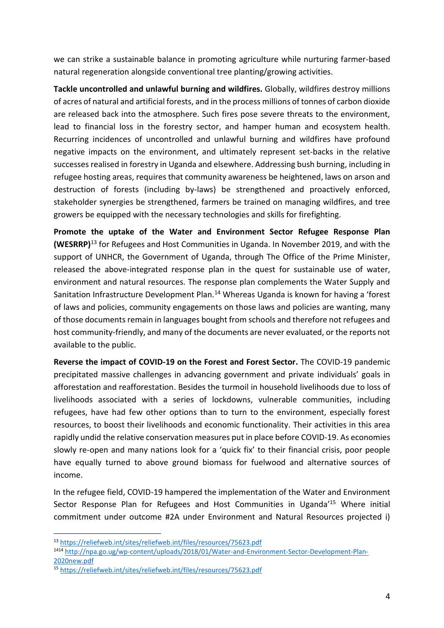we can strike a sustainable balance in promoting agriculture while nurturing farmer-based natural regeneration alongside conventional tree planting/growing activities.

**Tackle uncontrolled and unlawful burning and wildfires.** Globally, wildfires destroy millions of acres of natural and artificial forests, and in the process millions of tonnes of carbon dioxide are released back into the atmosphere. Such fires pose severe threats to the environment, lead to financial loss in the forestry sector, and hamper human and ecosystem health. Recurring incidences of uncontrolled and unlawful burning and wildfires have profound negative impacts on the environment, and ultimately represent set-backs in the relative successes realised in forestry in Uganda and elsewhere. Addressing bush burning, including in refugee hosting areas, requires that community awareness be heightened, laws on arson and destruction of forests (including by-laws) be strengthened and proactively enforced, stakeholder synergies be strengthened, farmers be trained on managing wildfires, and tree growers be equipped with the necessary technologies and skills for firefighting.

**Promote the uptake of the Water and Environment Sector Refugee Response Plan (WESRRP)**<sup>13</sup> for Refugees and Host Communities in Uganda. In November 2019, and with the support of UNHCR, the Government of Uganda, through The Office of the Prime Minister, released the above-integrated response plan in the quest for sustainable use of water, environment and natural resources. The response plan complements the Water Supply and Sanitation Infrastructure Development Plan.<sup>14</sup> Whereas Uganda is known for having a 'forest of laws and policies, community engagements on those laws and policies are wanting, many of those documents remain in languages bought from schools and therefore not refugees and host community-friendly, and many of the documents are never evaluated, or the reports not available to the public.

**Reverse the impact of COVID-19 on the Forest and Forest Sector.** The COVID-19 pandemic precipitated massive challenges in advancing government and private individuals' goals in afforestation and reafforestation. Besides the turmoil in household livelihoods due to loss of livelihoods associated with a series of lockdowns, vulnerable communities, including refugees, have had few other options than to turn to the environment, especially forest resources, to boost their livelihoods and economic functionality. Their activities in this area rapidly undid the relative conservation measures put in place before COVID-19. As economies slowly re-open and many nations look for a 'quick fix' to their financial crisis, poor people have equally turned to above ground biomass for fuelwood and alternative sources of income.

In the refugee field, COVID-19 hampered the implementation of the Water and Environment Sector Response Plan for Refugees and Host Communities in Uganda<sup>'15</sup> Where initial commitment under outcome #2A under Environment and Natural Resources projected i)

-

<sup>13</sup> <https://reliefweb.int/sites/reliefweb.int/files/resources/75623.pdf>

<sup>1414</sup> [http://npa.go.ug/wp-content/uploads/2018/01/Water-and-Environment-Sector-Development-Plan-](http://npa.go.ug/wp-content/uploads/2018/01/Water-and-Environment-Sector-Development-Plan-2020new.pdf)[2020new.pdf](http://npa.go.ug/wp-content/uploads/2018/01/Water-and-Environment-Sector-Development-Plan-2020new.pdf)

<sup>15</sup> <https://reliefweb.int/sites/reliefweb.int/files/resources/75623.pdf>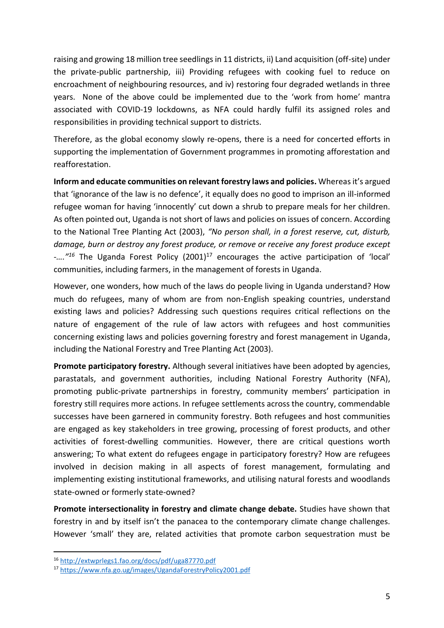raising and growing 18 million tree seedlings in 11 districts, ii) Land acquisition (off-site) under the private-public partnership, iii) Providing refugees with cooking fuel to reduce on encroachment of neighbouring resources, and iv) restoring four degraded wetlands in three years. None of the above could be implemented due to the 'work from home' mantra associated with COVID-19 lockdowns, as NFA could hardly fulfil its assigned roles and responsibilities in providing technical support to districts.

Therefore, as the global economy slowly re-opens, there is a need for concerted efforts in supporting the implementation of Government programmes in promoting afforestation and reafforestation.

**Inform and educate communities on relevant forestry laws and policies.** Whereas it's argued that 'ignorance of the law is no defence', it equally does no good to imprison an ill-informed refugee woman for having 'innocently' cut down a shrub to prepare meals for her children. As often pointed out, Uganda is not short of laws and policies on issues of concern. According to the National Tree Planting Act (2003), *"No person shall, in a forest reserve, cut, disturb, damage, burn or destroy any forest produce, or remove or receive any forest produce except*  -....<sup>"16</sup> The Uganda Forest Policy (2001)<sup>17</sup> encourages the active participation of 'local' communities, including farmers, in the management of forests in Uganda.

However, one wonders, how much of the laws do people living in Uganda understand? How much do refugees, many of whom are from non-English speaking countries, understand existing laws and policies? Addressing such questions requires critical reflections on the nature of engagement of the rule of law actors with refugees and host communities concerning existing laws and policies governing forestry and forest management in Uganda, including the National Forestry and Tree Planting Act (2003).

**Promote participatory forestry.** Although several initiatives have been adopted by agencies, parastatals, and government authorities, including National Forestry Authority (NFA), promoting public-private partnerships in forestry, community members' participation in forestry still requires more actions. In refugee settlements across the country, commendable successes have been garnered in community forestry. Both refugees and host communities are engaged as key stakeholders in tree growing, processing of forest products, and other activities of forest-dwelling communities. However, there are critical questions worth answering; To what extent do refugees engage in participatory forestry? How are refugees involved in decision making in all aspects of forest management, formulating and implementing existing institutional frameworks, and utilising natural forests and woodlands state-owned or formerly state-owned?

**Promote intersectionality in forestry and climate change debate.** Studies have shown that forestry in and by itself isn't the panacea to the contemporary climate change challenges. However 'small' they are, related activities that promote carbon sequestration must be

-

<sup>16</sup> <http://extwprlegs1.fao.org/docs/pdf/uga87770.pdf>

<sup>17</sup> <https://www.nfa.go.ug/images/UgandaForestryPolicy2001.pdf>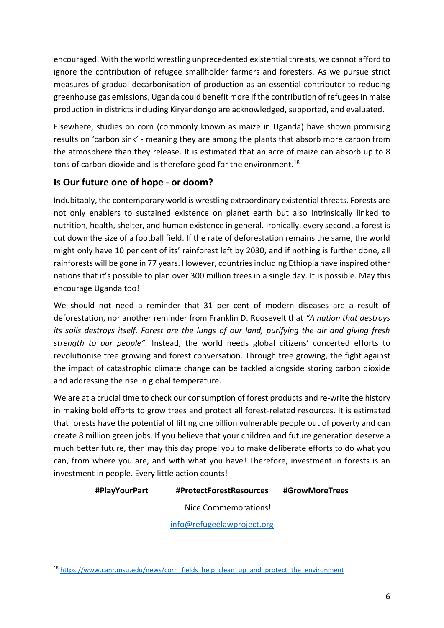encouraged. With the world wrestling unprecedented existential threats, we cannot afford to ignore the contribution of refugee smallholder farmers and foresters. As we pursue strict measures of gradual decarbonisation of production as an essential contributor to reducing greenhouse gas emissions, Uganda could benefit more if the contribution of refugees in maise production in districts including Kiryandongo are acknowledged, supported, and evaluated.

Elsewhere, studies on corn (commonly known as maize in Uganda) have shown promising results on 'carbon sink' - meaning they are among the plants that absorb more carbon from the atmosphere than they release. It is estimated that an acre of maize can absorb up to 8 tons of carbon dioxide and is therefore good for the environment.<sup>18</sup>

## **Is Our future one of hope - or doom?**

Indubitably, the contemporary world is wrestling extraordinary existential threats. Forests are not only enablers to sustained existence on planet earth but also intrinsically linked to nutrition, health, shelter, and human existence in general. Ironically, every second, a forest is cut down the size of a football field. If the rate of deforestation remains the same, the world might only have 10 per cent of its' rainforest left by 2030, and if nothing is further done, all rainforests will be gone in 77 years. However, countries including Ethiopia have inspired other nations that it's possible to plan over 300 million trees in a single day. It is possible. May this encourage Uganda too!

We should not need a reminder that 31 per cent of modern diseases are a result of deforestation, nor another reminder from Franklin D. Roosevelt that *"A nation that destroys its soils destroys itself. Forest are the lungs of our land, purifying the air and giving fresh strength to our people".* Instead, the world needs global citizens' concerted efforts to revolutionise tree growing and forest conversation. Through tree growing, the fight against the impact of catastrophic climate change can be tackled alongside storing carbon dioxide and addressing the rise in global temperature.

We are at a crucial time to check our consumption of forest products and re-write the history in making bold efforts to grow trees and protect all forest-related resources. It is estimated that forests have the potential of lifting one billion vulnerable people out of poverty and can create 8 million green jobs. If you believe that your children and future generation deserve a much better future, then may this day propel you to make deliberate efforts to do what you can, from where you are, and with what you have! Therefore, investment in forests is an investment in people. Every little action counts!

#### **#PlayYourPart #ProtectForestResources #GrowMoreTrees**

Nice Commemorations!

[info@refugeelawproject.org](mailto:info@refugeelawproject.org)

<sup>1</sup> <sup>18</sup> [https://www.canr.msu.edu/news/corn\\_fields\\_help\\_clean\\_up\\_and\\_protect\\_the\\_environment](https://www.canr.msu.edu/news/corn_fields_help_clean_up_and_protect_the_environment)